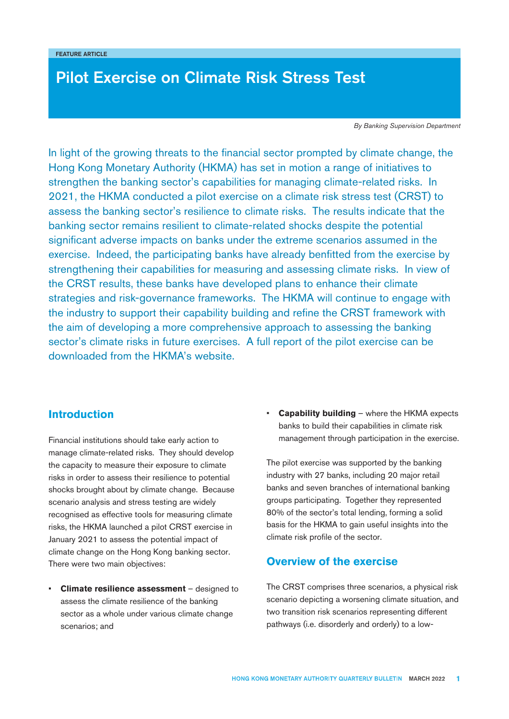# Pilot Exercise on Climate Risk Stress Test

*By Banking Supervision Department*

In light of the growing threats to the financial sector prompted by climate change, the Hong Kong Monetary Authority (HKMA) has set in motion a range of initiatives to strengthen the banking sector's capabilities for managing climate-related risks. In 2021, the HKMA conducted a pilot exercise on a climate risk stress test (CRST) to assess the banking sector's resilience to climate risks. The results indicate that the banking sector remains resilient to climate-related shocks despite the potential significant adverse impacts on banks under the extreme scenarios assumed in the exercise. Indeed, the participating banks have already benfitted from the exercise by strengthening their capabilities for measuring and assessing climate risks. In view of the CRST results, these banks have developed plans to enhance their climate strategies and risk-governance frameworks. The HKMA will continue to engage with the industry to support their capability building and refine the CRST framework with the aim of developing a more comprehensive approach to assessing the banking sector's climate risks in future exercises. A full report of the pilot exercise can be downloaded from the [HKMA's website](https://www.hkma.gov.hk/media/eng/doc/key-functions/banking-stability/Pilot_banking_sector_climate_risk_stress_test.pdf).

# **Introduction**

Financial institutions should take early action to manage climate-related risks. They should develop the capacity to measure their exposure to climate risks in order to assess their resilience to potential shocks brought about by climate change. Because scenario analysis and stress testing are widely recognised as effective tools for measuring climate risks, the HKMA launched a pilot CRST exercise in January 2021 to assess the potential impact of climate change on the Hong Kong banking sector. There were two main objectives:

• **Climate resilience assessment** – designed to assess the climate resilience of the banking sector as a whole under various climate change scenarios; and

• **Capability building** – where the HKMA expects banks to build their capabilities in climate risk management through participation in the exercise.

The pilot exercise was supported by the banking industry with 27 banks, including 20 major retail banks and seven branches of international banking groups participating. Together they represented 80% of the sector's total lending, forming a solid basis for the HKMA to gain useful insights into the climate risk profile of the sector.

# **Overview of the exercise**

The CRST comprises three scenarios, a physical risk scenario depicting a worsening climate situation, and two transition risk scenarios representing different pathways (i.e. disorderly and orderly) to a low-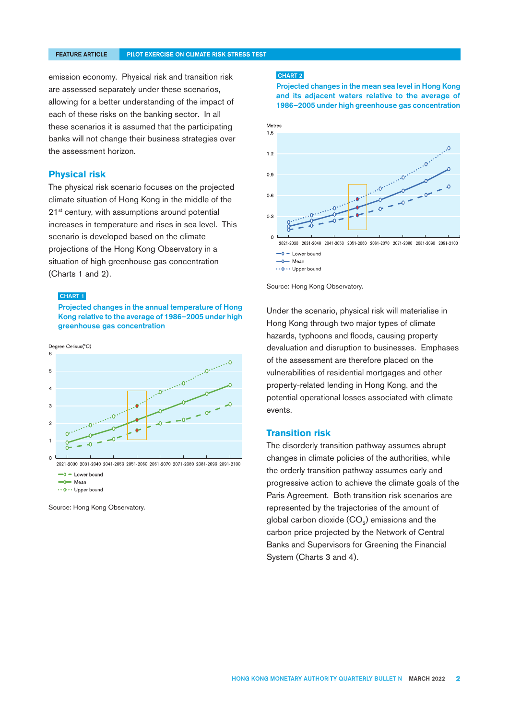emission economy. Physical risk and transition risk are assessed separately under these scenarios, allowing for a better understanding of the impact of each of these risks on the banking sector. In all these scenarios it is assumed that the participating banks will not change their business strategies over the assessment horizon.

#### **Physical risk**

The physical risk scenario focuses on the projected climate situation of Hong Kong in the middle of the 21<sup>st</sup> century, with assumptions around potential increases in temperature and rises in sea level. This scenario is developed based on the climate projections of the Hong Kong Observatory in a situation of high greenhouse gas concentration (Charts 1 and 2).

### CHART 1

#### Projected changes in the annual temperature of Hong Kong relative to the average of 1986–2005 under high greenhouse gas concentration



 $\rightarrow$  0 = Lower bound  $\rightarrow$  Mean

\*\* 0\*\* Upper bound

Source: Hong Kong Observatory.

#### CHART 2

Projected changes in the mean sea level in Hong Kong and its adjacent waters relative to the average of 1986–2005 under high greenhouse gas concentration





Under the scenario, physical risk will materialise in Hong Kong through two major types of climate hazards, typhoons and floods, causing property devaluation and disruption to businesses. Emphases of the assessment are therefore placed on the vulnerabilities of residential mortgages and other property-related lending in Hong Kong, and the potential operational losses associated with climate events.

### **Transition risk**

The disorderly transition pathway assumes abrupt changes in climate policies of the authorities, while the orderly transition pathway assumes early and progressive action to achieve the climate goals of the Paris Agreement. Both transition risk scenarios are represented by the trajectories of the amount of global carbon dioxide  $(CO<sub>2</sub>)$  emissions and the carbon price projected by the Network of Central Banks and Supervisors for Greening the Financial System (Charts 3 and 4).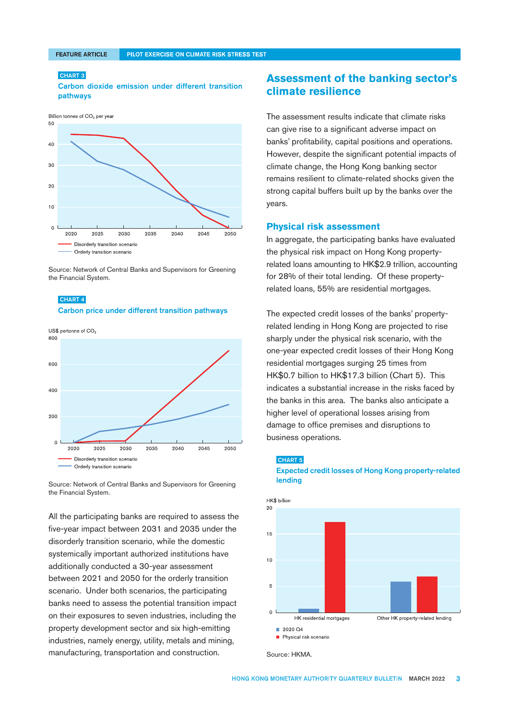### CHART 3

Carbon dioxide emission under different transition pathways



Source: Network of Central Banks and Supervisors for Greening the Financial System.





Source: Network of Central Banks and Supervisors for Greening the Financial System.

All the participating banks are required to assess the five-year impact between 2031 and 2035 under the disorderly transition scenario, while the domestic systemically important authorized institutions have additionally conducted a 30-year assessment between 2021 and 2050 for the orderly transition scenario. Under both scenarios, the participating banks need to assess the potential transition impact on their exposures to seven industries, including the property development sector and six high-emitting industries, namely energy, utility, metals and mining, manufacturing, transportation and construction.

# **Assessment of the banking sector's climate resilience**

The assessment results indicate that climate risks can give rise to a significant adverse impact on banks' profitability, capital positions and operations. However, despite the significant potential impacts of climate change, the Hong Kong banking sector remains resilient to climate-related shocks given the strong capital buffers built up by the banks over the years.

### **Physical risk assessment**

In aggregate, the participating banks have evaluated the physical risk impact on Hong Kong propertyrelated loans amounting to HK\$2.9 trillion, accounting for 28% of their total lending. Of these propertyrelated loans, 55% are residential mortgages.

The expected credit losses of the banks' propertyrelated lending in Hong Kong are projected to rise sharply under the physical risk scenario, with the one-year expected credit losses of their Hong Kong residential mortgages surging 25 times from HK\$0.7 billion to HK\$17.3 billion (Chart 5). This indicates a substantial increase in the risks faced by the banks in this area. The banks also anticipate a higher level of operational losses arising from damage to office premises and disruptions to business operations.

#### CHART 5

Expected credit losses of Hong Kong property-related lending



Source: HKMA.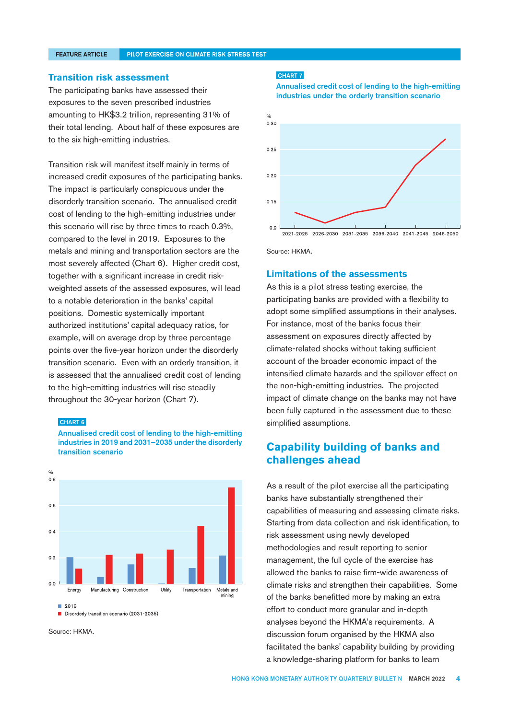#### **FEATURE ARTICLE**

#### PILOT EXERCISE ON CLIMATE RISK STRESS TEST

#### **Transition risk assessment**

The participating banks have assessed their exposures to the seven prescribed industries amounting to HK\$3.2 trillion, representing 31% of their total lending. About half of these exposures are to the six high-emitting industries.

Transition risk will manifest itself mainly in terms of increased credit exposures of the participating banks. The impact is particularly conspicuous under the disorderly transition scenario. The annualised credit cost of lending to the high-emitting industries under this scenario will rise by three times to reach 0.3%, compared to the level in 2019. Exposures to the metals and mining and transportation sectors are the most severely affected (Chart 6). Higher credit cost, together with a significant increase in credit riskweighted assets of the assessed exposures, will lead to a notable deterioration in the banks' capital positions. Domestic systemically important authorized institutions' capital adequacy ratios, for example, will on average drop by three percentage points over the five-year horizon under the disorderly transition scenario. Even with an orderly transition, it is assessed that the annualised credit cost of lending to the high-emitting industries will rise steadily throughout the 30-year horizon (Chart 7).

#### CHART 6

Annualised credit cost of lending to the high-emitting industries in 2019 and 2031–2035 under the disorderly transition scenario



Source: HKMA.

#### CHART 7

Annualised credit cost of lending to the high-emitting industries under the orderly transition scenario



Source: HKMA.

#### **Limitations of the assessments**

As this is a pilot stress testing exercise, the participating banks are provided with a flexibility to adopt some simplified assumptions in their analyses. For instance, most of the banks focus their assessment on exposures directly affected by climate-related shocks without taking sufficient account of the broader economic impact of the intensified climate hazards and the spillover effect on the non-high-emitting industries. The projected impact of climate change on the banks may not have been fully captured in the assessment due to these simplified assumptions.

# **Capability building of banks and challenges ahead**

As a result of the pilot exercise all the participating banks have substantially strengthened their capabilities of measuring and assessing climate risks. Starting from data collection and risk identification, to risk assessment using newly developed methodologies and result reporting to senior management, the full cycle of the exercise has allowed the banks to raise firm-wide awareness of climate risks and strengthen their capabilities. Some of the banks benefitted more by making an extra effort to conduct more granular and in-depth analyses beyond the HKMA's requirements. A discussion forum organised by the HKMA also facilitated the banks' capability building by providing a knowledge-sharing platform for banks to learn